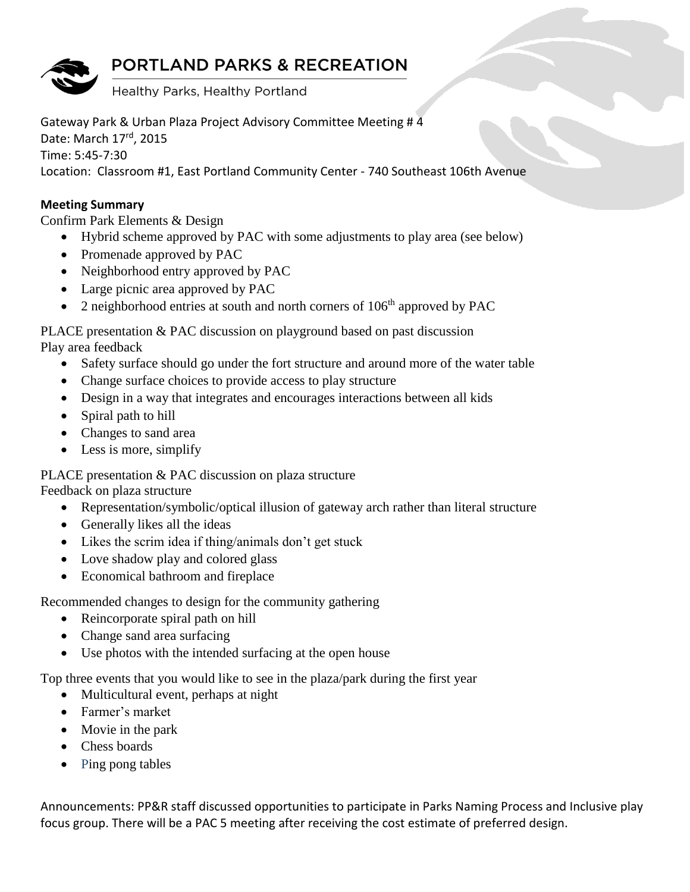## **PORTLAND PARKS & RECREATION**

Healthy Parks, Healthy Portland

Gateway Park & Urban Plaza Project Advisory Committee Meeting # 4 Date: March 17rd, 2015 Time: 5:45-7:30 Location: Classroom #1, East Portland Community Center - 740 Southeast 106th Avenue

## **Meeting Summary**

Confirm Park Elements & Design

- Hybrid scheme approved by PAC with some adjustments to play area (see below)
- Promenade approved by PAC
- Neighborhood entry approved by PAC
- Large picnic area approved by PAC
- 2 neighborhood entries at south and north corners of  $106<sup>th</sup>$  approved by PAC

PLACE presentation & PAC discussion on playground based on past discussion Play area feedback

- Safety surface should go under the fort structure and around more of the water table
- Change surface choices to provide access to play structure
- Design in a way that integrates and encourages interactions between all kids
- Spiral path to hill
- Changes to sand area
- Less is more, simplify

PLACE presentation & PAC discussion on plaza structure

Feedback on plaza structure

- Representation/symbolic/optical illusion of gateway arch rather than literal structure
- Generally likes all the ideas
- Likes the scrim idea if thing/animals don't get stuck
- Love shadow play and colored glass
- Economical bathroom and fireplace

Recommended changes to design for the community gathering

- Reincorporate spiral path on hill
- Change sand area surfacing
- Use photos with the intended surfacing at the open house

Top three events that you would like to see in the plaza/park during the first year

- Multicultural event, perhaps at night
- Farmer's market
- Movie in the park
- Chess boards
- Ping pong tables

Announcements: PP&R staff discussed opportunities to participate in Parks Naming Process and Inclusive play focus group. There will be a PAC 5 meeting after receiving the cost estimate of preferred design.